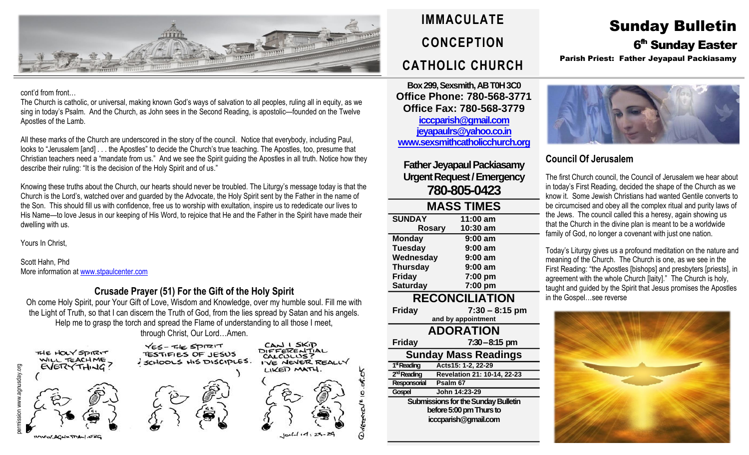

#### cont'd from front…

The Church is catholic, or universal, making known God's ways of salvation to all peoples, ruling all in equity, as we sing in today's Psalm. And the Church, as John sees in the Second Reading, is apostolic—founded on the Twelve Apostles of the Lamb.

All these marks of the Church are underscored in the story of the council. Notice that everybody, including Paul, looks to "Jerusalem [and] . . . the Apostles" to decide the Church's true teaching. The Apostles, too, presume that Christian teachers need a "mandate from us." And we see the Spirit guiding the Apostles in all truth. Notice how they describe their ruling: "It is the decision of the Holy Spirit and of us."

Knowing these truths about the Church, our hearts should never be troubled. The Liturgy's message today is that the Church is the Lord's, watched over and guarded by the Advocate, the Holy Spirit sent by the Father in the name of the Son. This should fill us with confidence, free us to worship with exultation, inspire us to rededicate our lives to His Name—to love Jesus in our keeping of His Word, to rejoice that He and the Father in the Spirit have made their dwelling with us.

Yours In Christ,

Scott Hahn, Phd More information at [www.stpaulcenter.com](http://www.stpaulcenter.com/)

### **Crusade Prayer (51) For the Gift of the Holy Spirit**

Oh come Holy Spirit, pour Your Gift of Love, Wisdom and Knowledge, over my humble soul. Fill me with the Light of Truth, so that I can discern the Truth of God, from the lies spread by Satan and his angels. Help me to grasp the torch and spread the Flame of understanding to all those I meet, through Christ, Our Lord…Amen.



CAN I SKIP<br>DIFFERENTIAL YES-THE SPITZIT **TESTIFIES OF JESUS** SCHOOLS HIS DISCIPLES.



# **IMMACULATE CONCEPTION CATHOLIC CHURCH**

**Box 299, Sexsmith, AB T0H 3C0 Office Phone: 780-568-3771 Office Fax: 780-568-3779 [icccparish@gmail.com](mailto:icccparish@gmail.com) [jeyapaulrs@yahoo.co.in](mailto:jeyapaulrs@yahoo.co.in) [www.sexsmithcatholicchurch.org](http://www.sexsmithcatholicchurch.org/)**

## **Father Jeyapaul Packiasamy Urgent Request/Emergency 780-805-0423**

| <b>MASS TIMES</b>                   |                             |  |  |  |  |
|-------------------------------------|-----------------------------|--|--|--|--|
| <b>SUNDAY</b>                       | 11:00 am                    |  |  |  |  |
| <b>Rosary</b>                       | 10:30 am                    |  |  |  |  |
| <b>Monday</b>                       | $9:00$ am                   |  |  |  |  |
| <b>Tuesday</b>                      | 9:00 am                     |  |  |  |  |
| Wednesday                           | $9:00$ am                   |  |  |  |  |
| <b>Thursday</b>                     | $9:00$ am                   |  |  |  |  |
| <b>Friday</b>                       | 7:00 pm                     |  |  |  |  |
| <b>Saturday</b>                     | 7:00 pm                     |  |  |  |  |
| <b>RECONCILIATION</b>               |                             |  |  |  |  |
| <b>Friday</b>                       | $7:30 - 8:15$ pm            |  |  |  |  |
|                                     | and by appointment          |  |  |  |  |
| <b>ADORATION</b>                    |                             |  |  |  |  |
| <b>Friday</b>                       | 7:30-8:15 pm                |  |  |  |  |
| Sunday Mass Readings                |                             |  |  |  |  |
| 1 <sup>st</sup> Reading             | Acts15: 1-2, 22-29          |  |  |  |  |
| 2 <sup>nd</sup> Reading             | Revelation 21: 10-14, 22-23 |  |  |  |  |
| Responsorial                        | Psalm 67                    |  |  |  |  |
| Gospel                              | John 14:23-29               |  |  |  |  |
| Submissions for the Sunday Bulletin |                             |  |  |  |  |
| before 5:00 pm Thurs to             |                             |  |  |  |  |
| icccparish@gmail.com                |                             |  |  |  |  |
|                                     |                             |  |  |  |  |

# Sunday Bulletin 6 fh Sunday Easter

Parish Priest: Father Jeyapaul Packiasamy



## **Council Of Jerusalem**

The first Church council, the Council of Jerusalem we hear about in today's First Reading, decided the shape of the Church as we know it. Some Jewish Christians had wanted Gentile converts to be circumcised and obey all the complex ritual and purity laws of the Jews. The council called this a heresy, again showing us that the Church in the divine plan is meant to be a worldwide family of God, no longer a covenant with just one nation.

Today's Liturgy gives us a profound meditation on the nature and meaning of the Church. The Church is one, as we see in the First Reading: "the Apostles [bishops] and presbyters [priests], in agreement with the whole Church [laity]." The Church is holy, taught and guided by the Spirit that Jesus promises the Apostles in the Gospel…see reverse